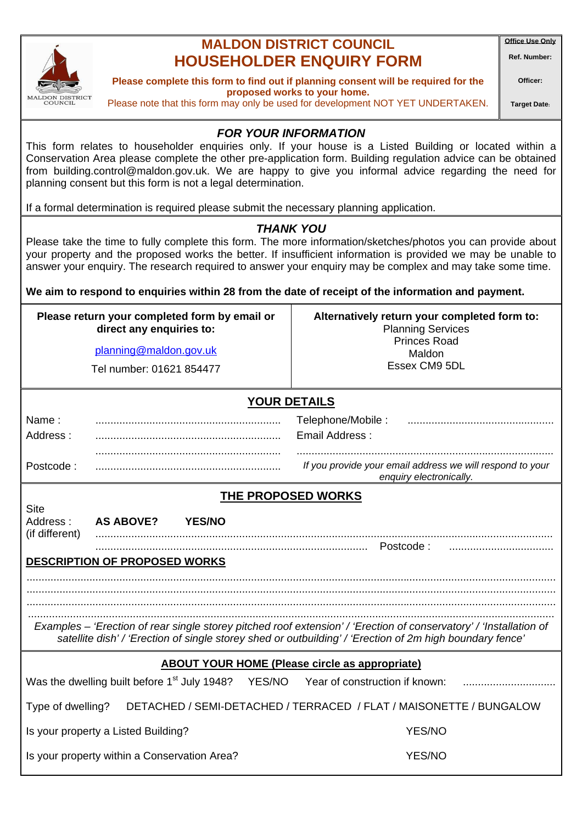

## **MALDON DISTRICT COUNCIL HOUSEHOLDER ENQUIRY FORM**

**Office Use Only** 

**Ref. Number:** 

**Officer:** 

**Please complete this form to find out if planning consent will be required for the proposed works to your home.** 

Please note that this form may only be used for development NOT YET UNDERTAKEN.

**Target Date:**

#### *FOR YOUR INFORMATION*

This form relates to householder enquiries only. If your house is a Listed Building or located within a Conservation Area please complete the other pre-application form. Building regulation advice can be obtained from building.control@maldon.gov.uk. We are happy to give you informal advice regarding the need for planning consent but this form is not a legal determination.

If a formal determination is required please submit the necessary planning application.

### *THANK YOU*

Please take the time to fully complete this form. The more information/sketches/photos you can provide about your property and the proposed works the better. If insufficient information is provided we may be unable to answer your enquiry. The research required to answer your enquiry may be complex and may take some time.

**We aim to respond to enquiries within 28 from the date of receipt of the information and payment.** 

| Please return your completed form by email or<br>direct any enquiries to:                      | Alternatively return your completed form to:<br><b>Planning Services</b>                                                                                                                                                                                    |  |  |  |  |  |
|------------------------------------------------------------------------------------------------|-------------------------------------------------------------------------------------------------------------------------------------------------------------------------------------------------------------------------------------------------------------|--|--|--|--|--|
| planning@maldon.gov.uk                                                                         | <b>Princes Road</b><br>Maldon                                                                                                                                                                                                                               |  |  |  |  |  |
| Tel number: 01621 854477                                                                       | Essex CM9 5DL                                                                                                                                                                                                                                               |  |  |  |  |  |
| <b>YOUR DETAILS</b>                                                                            |                                                                                                                                                                                                                                                             |  |  |  |  |  |
| Name:                                                                                          | Telephone/Mobile:                                                                                                                                                                                                                                           |  |  |  |  |  |
| Address:                                                                                       | Email Address:                                                                                                                                                                                                                                              |  |  |  |  |  |
|                                                                                                |                                                                                                                                                                                                                                                             |  |  |  |  |  |
| Postcode:                                                                                      | If you provide your email address we will respond to your<br>enquiry electronically.                                                                                                                                                                        |  |  |  |  |  |
| <b>Site</b><br>Address:<br>AS ABOVE? YES/NO<br>(if different)<br>DESCRIPTION OF PROPOSED WORKS | <b>THE PROPOSED WORKS</b><br>Examples - 'Erection of rear single storey pitched roof extension' / 'Erection of conservatory' / 'Installation of<br>satellite dish' / 'Erection of single storey shed or outbuilding' / 'Erection of 2m high boundary fence' |  |  |  |  |  |
|                                                                                                | <b>ABOUT YOUR HOME (Please circle as appropriate)</b>                                                                                                                                                                                                       |  |  |  |  |  |
| Was the dwelling built before 1 <sup>st</sup> July 1948?<br>YES/NO                             | Year of construction if known:                                                                                                                                                                                                                              |  |  |  |  |  |
| Type of dwelling?                                                                              | DETACHED / SEMI-DETACHED / TERRACED / FLAT / MAISONETTE / BUNGALOW                                                                                                                                                                                          |  |  |  |  |  |
| Is your property a Listed Building?                                                            | YES/NO                                                                                                                                                                                                                                                      |  |  |  |  |  |
| Is your property within a Conservation Area?                                                   | YES/NO                                                                                                                                                                                                                                                      |  |  |  |  |  |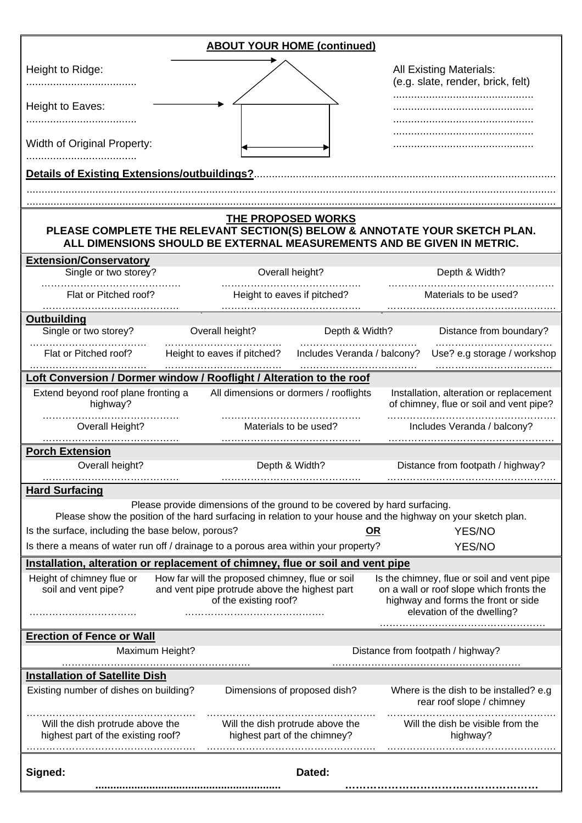| <b>ABOUT YOUR HOME (continued)</b>                                                                                                                                                |                                                                                                                               |  |  |  |  |  |  |  |  |
|-----------------------------------------------------------------------------------------------------------------------------------------------------------------------------------|-------------------------------------------------------------------------------------------------------------------------------|--|--|--|--|--|--|--|--|
|                                                                                                                                                                                   |                                                                                                                               |  |  |  |  |  |  |  |  |
| Height to Ridge:                                                                                                                                                                  | <b>All Existing Materials:</b><br>(e.g. slate, render, brick, felt)                                                           |  |  |  |  |  |  |  |  |
| Height to Eaves:                                                                                                                                                                  |                                                                                                                               |  |  |  |  |  |  |  |  |
| Width of Original Property:                                                                                                                                                       |                                                                                                                               |  |  |  |  |  |  |  |  |
| <b>Details of Existing Extensions/outbuildings?</b>                                                                                                                               |                                                                                                                               |  |  |  |  |  |  |  |  |
|                                                                                                                                                                                   |                                                                                                                               |  |  |  |  |  |  |  |  |
| <b>THE PROPOSED WORKS</b><br>PLEASE COMPLETE THE RELEVANT SECTION(S) BELOW & ANNOTATE YOUR SKETCH PLAN.<br>ALL DIMENSIONS SHOULD BE EXTERNAL MEASUREMENTS AND BE GIVEN IN METRIC. |                                                                                                                               |  |  |  |  |  |  |  |  |
| <b>Extension/Conservatory</b><br>Overall height?<br>Single or two storey?                                                                                                         | Depth & Width?                                                                                                                |  |  |  |  |  |  |  |  |
|                                                                                                                                                                                   |                                                                                                                               |  |  |  |  |  |  |  |  |
| Flat or Pitched roof?<br>Height to eaves if pitched?                                                                                                                              | Materials to be used?                                                                                                         |  |  |  |  |  |  |  |  |
| <b>Outbuilding</b><br>Depth & Width?<br>Single or two storey?<br>Overall height?                                                                                                  | Distance from boundary?                                                                                                       |  |  |  |  |  |  |  |  |
| Flat or Pitched roof?<br>Height to eaves if pitched?<br>Includes Veranda / balcony?                                                                                               | Use? e.g storage / workshop                                                                                                   |  |  |  |  |  |  |  |  |
| Loft Conversion / Dormer window / Rooflight / Alteration to the roof                                                                                                              |                                                                                                                               |  |  |  |  |  |  |  |  |
| Extend beyond roof plane fronting a<br>All dimensions or dormers / rooflights<br>highway?                                                                                         | Installation, alteration or replacement<br>of chimney, flue or soil and vent pipe?                                            |  |  |  |  |  |  |  |  |
| Overall Height?<br>Materials to be used?                                                                                                                                          | Includes Veranda / balcony?                                                                                                   |  |  |  |  |  |  |  |  |
| <b>Porch Extension</b>                                                                                                                                                            |                                                                                                                               |  |  |  |  |  |  |  |  |
| Overall height?<br>Depth & Width?                                                                                                                                                 | Distance from footpath / highway?                                                                                             |  |  |  |  |  |  |  |  |
| <b>Hard Surfacing</b>                                                                                                                                                             |                                                                                                                               |  |  |  |  |  |  |  |  |
| Please provide dimensions of the ground to be covered by hard surfacing.                                                                                                          |                                                                                                                               |  |  |  |  |  |  |  |  |
| Please show the position of the hard surfacing in relation to your house and the highway on your sketch plan.<br>Is the surface, including the base below, porous?                | YES/NO<br>OΚ                                                                                                                  |  |  |  |  |  |  |  |  |
| Is there a means of water run off / drainage to a porous area within your property?                                                                                               | YES/NO                                                                                                                        |  |  |  |  |  |  |  |  |
| Installation, alteration or replacement of chimney, flue or soil and vent pipe                                                                                                    |                                                                                                                               |  |  |  |  |  |  |  |  |
| Height of chimney flue or<br>How far will the proposed chimney, flue or soil<br>soil and vent pipe?<br>and vent pipe protrude above the highest part<br>of the existing roof?     | Is the chimney, flue or soil and vent pipe<br>on a wall or roof slope which fronts the<br>highway and forms the front or side |  |  |  |  |  |  |  |  |
|                                                                                                                                                                                   | elevation of the dwelling?                                                                                                    |  |  |  |  |  |  |  |  |
| <b>Erection of Fence or Wall</b>                                                                                                                                                  |                                                                                                                               |  |  |  |  |  |  |  |  |
| Maximum Height?<br>Distance from footpath / highway?                                                                                                                              |                                                                                                                               |  |  |  |  |  |  |  |  |
| <b>Installation of Satellite Dish</b>                                                                                                                                             |                                                                                                                               |  |  |  |  |  |  |  |  |
| Dimensions of proposed dish?<br>Existing number of dishes on building?                                                                                                            | Where is the dish to be installed? e.g<br>rear roof slope / chimney                                                           |  |  |  |  |  |  |  |  |
| Will the dish protrude above the<br>Will the dish protrude above the<br>highest part of the existing roof?<br>highest part of the chimney?                                        | Will the dish be visible from the<br>highway?                                                                                 |  |  |  |  |  |  |  |  |
| Signed:<br>Dated:                                                                                                                                                                 |                                                                                                                               |  |  |  |  |  |  |  |  |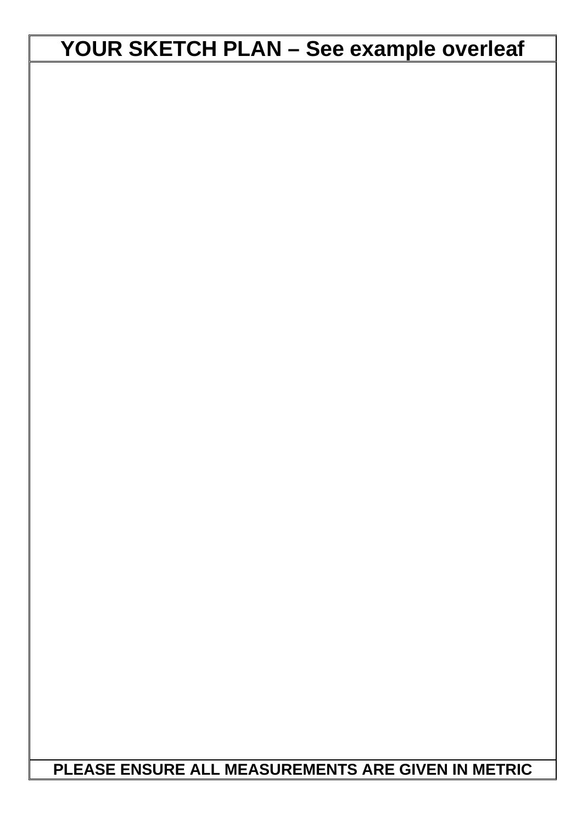# **YOUR SKETCH PLAN – See example overleaf**

**PLEASE ENSURE ALL MEASUREMENTS ARE GIVEN IN METRIC**